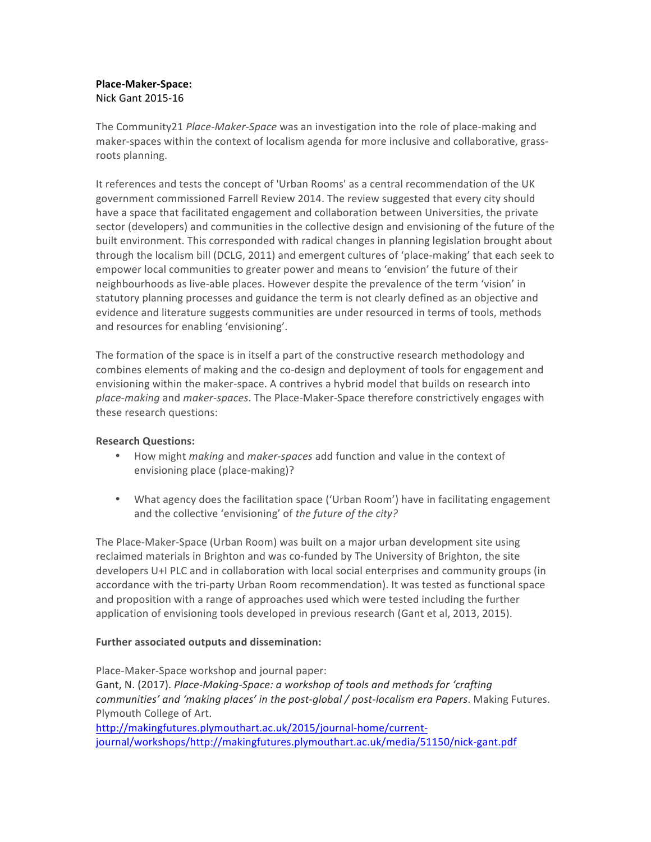## **Place-Maker-Space:** Nick Gant 2015-16

The Community21 *Place-Maker-Space* was an investigation into the role of place-making and maker-spaces within the context of localism agenda for more inclusive and collaborative, grassroots planning.

It references and tests the concept of 'Urban Rooms' as a central recommendation of the UK government commissioned Farrell Review 2014. The review suggested that every city should have a space that facilitated engagement and collaboration between Universities, the private sector (developers) and communities in the collective design and envisioning of the future of the built environment. This corresponded with radical changes in planning legislation brought about through the localism bill (DCLG, 2011) and emergent cultures of 'place-making' that each seek to empower local communities to greater power and means to 'envision' the future of their neighbourhoods as live-able places. However despite the prevalence of the term 'vision' in statutory planning processes and guidance the term is not clearly defined as an objective and evidence and literature suggests communities are under resourced in terms of tools, methods and resources for enabling 'envisioning'.

The formation of the space is in itself a part of the constructive research methodology and combines elements of making and the co-design and deployment of tools for engagement and envisioning within the maker-space. A contrives a hybrid model that builds on research into place-making and maker-spaces. The Place-Maker-Space therefore constrictively engages with these research questions:

## **Research Questions:**

- How might *making* and *maker-spaces* add function and value in the context of envisioning place (place-making)?
- What agency does the facilitation space ('Urban Room') have in facilitating engagement and the collective 'envisioning' of *the future of the city?*

The Place-Maker-Space (Urban Room) was built on a major urban development site using reclaimed materials in Brighton and was co-funded by The University of Brighton, the site developers U+I PLC and in collaboration with local social enterprises and community groups (in accordance with the tri-party Urban Room recommendation). It was tested as functional space and proposition with a range of approaches used which were tested including the further application of envisioning tools developed in previous research (Gant et al, 2013, 2015).

## **Further associated outputs and dissemination:**

Place-Maker-Space workshop and journal paper: Gant, N. (2017). *Place-Making-Space: a workshop of tools and methods for 'crafting communities'* and 'making places' in the post-global / post-localism era Papers. Making Futures. Plymouth College of Art. http://makingfutures.plymouthart.ac.uk/2015/journal-home/current-

journal/workshops/http://makingfutures.plymouthart.ac.uk/media/51150/nick-gant.pdf